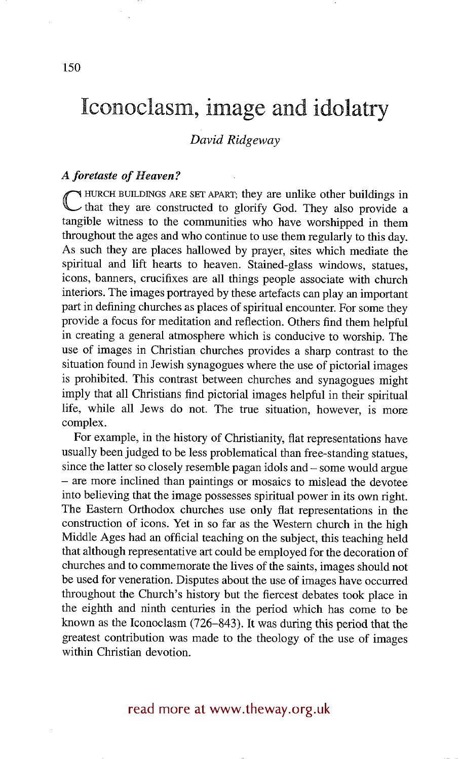# **lconoclasm, image and idolatry**

#### *David Ridgeway*

#### *A foretaste of Heaven?*

**C** HURCH BUILDINGS ARE SET APART; they are unlike other buildings in that they are constructed to glorify God. They also provide a tangible witness to the communities who have worshipped in them throughout the ages and who continue to use them regularly to this day. As such they are places hallowed by prayer, sites which mediate the spiritual and lift hearts to heaven. Stained-glass windows, statues, icons, banners, crucifixes are all things people associate with church interiors. The images portrayed by these artefacts can play an important part in defining churches as places of spiritual encounter. For some they provide a focus for meditation and reflection. Others find them helpful in creating a general atmosphere which is conducive to worship. The use of images in Christian churches provides a sharp contrast to the situation found in Jewish synagogues where the use of pictorial images is prohibited. This contrast between churches and synagogues might imply that all Christians find pictorial images helpful in their spiritual life, while all Jews do not. The true situation, however, is more complex.

For example, in the history of Christianity, flat representations have usually been judged to be less problematical than free-standing statues, since the latter so closely resemble pagan idols and – some would argue **-** are more inclined than paintings or mosaics to mislead the devotee into believing that the image possesses spiritual power in its own right. The Eastern Orthodox churches use only flat representations in the construction of icons. Yet in so far as the Western church in the high Middle Ages had an official teaching on the subject, this teaching held that although representative art could be employed for the decoration of churches and to commemorate the lives of the saints, images should not be used for veneration. Disputes about the use of images have occurred throughout the Church's history but the fiercest debates took place in the eighth and ninth centuries in the period which has come to be known as the Iconoclasm (726-843). It was during this period that the greatest contribution was made to the theology of the use of images within Christian devotion.

### read more at www.theway.org.uk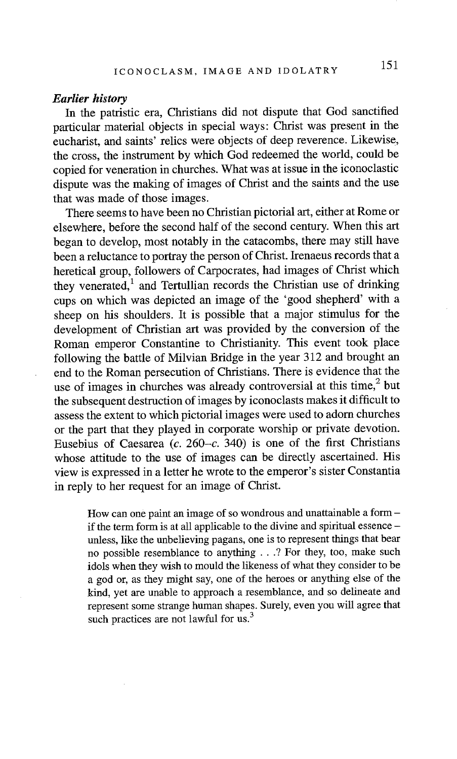#### *Earlier history*

In the patristic era, Christians did not dispute that God sanctified particular material objects in special ways: Christ was present in the eucharist, and saints' relics were objects of deep reverence. Likewise, the cross, the instrument by which God redeemed the world, could be copied for veneration in churches. What was at issue in the iconoclastic dispute was the making of images of Christ and the saints and the use that was made of those images.

There seems to have been no Christian pictorial art, either at Rome or elsewhere, before the second half of the second century. When this art began to develop, most notably in the catacombs, there may still have been a reluctance to portray the person of Christ. Irenaeus records that a heretical group, followers of Carpocrates, had images of Christ which they venerated,<sup>1</sup> and Tertullian records the Christian use of drinking cups on which was depicted an image of the 'good shepherd' with a sheep on his shoulders. It is possible that a major stimulus for the development of Christian art was provided by the conversion of the Roman emperor Constantine to Christianity. This event took place following the battle of Milvian Bridge in the year 312 and brought an end to the Roman persecution of Christians. There is evidence that the use of images in churches was already controversial at this time, $2$  but the subsequent destruction of images by iconoclasts makes it difficult to assess the extent to which pictorial images were used to adorn churches or the part that they played in corporate worship or private devotion. Eusebius of Caesarea (c. 260–c. 340) is one of the first Christians whose attitude to the use of images can be directly ascertained. His view is expressed in a letter he wrote to the emperor's sister Constantia in reply to her request for an image of Christ.

How can one paint an image of so wondrous and unattainable a form if the term form is at all applicable to the divine and spiritual essence unless, like the unbelieving pagans, one is to represent things that bear no possible resemblance to anything . . .? For they, too, make such idols when they wish to mould the likeness of what they consider to be a god or, as they might say, one of the heroes or anything else of the kind, yet are unable to approach a resemblance, and so delineate and represent some strange human shapes. Surely, even you will agree that such practices are not lawful for us. $3$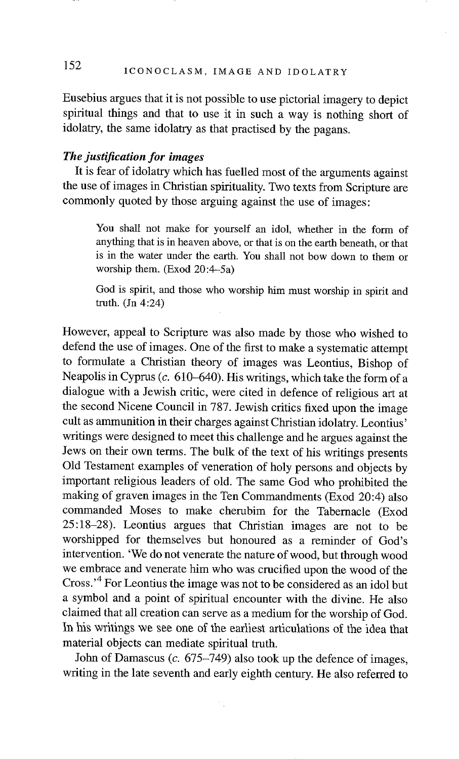## 152 ICONOCLASM, IMAGE AND IDOLATRY

Eusebius argues that it is not possible to use pictorial imagery to depict spiritual things and that to use it in such a way is nothing short of idolatry, the same idolatry as that practised by the pagans.

#### *The justification for images*

It is fear of idolatry which has fuelled most of the arguments against the use of images in Christian spirituality. Two texts from Scripture are commonly quoted by those arguing against the use of images:

You shall not make for yourself an idol, whether in the form of anything that is in heaven above, or that is on the earth beneath, or that is in the water under the earth. You shall not bow down to them or worship them.  $(Exod 20:4-5a)$ 

God is spirit, and those who worship him must worship in spirit and truth. (Jn 4:24)

However, appeal to Scripture was also made by those who wished to defend the use of images. One of the first to make a systematic attempt to formulate a Christian theory of images was Leontius, Bishop of Neapolis in Cyprus (c. 610–640). His writings, which take the form of a dialogue with a Jewish critic, were cited in defence of religious art at the second Nicene Council in 787. Jewish critics fixed upon the image cult as ammunition in their charges against Christian idolatry. Leontius' writings were designed to meet this challenge and he argues against the Jews on their own terms. The bulk of the text of his writings presents Old Testament examples of veneration of holy persons and objects by important religious leaders of old. The same God who prohibited the making of graven images in the Ten Commandments (Exod 20:4) also commanded Moses to make cherubim for the Tabernacle (Exod 25:18-28). Leontius argues that Christian images are not to be worshipped for themselves but honoured as a reminder of God's intervention. 'We do not venerate the nature of wood, but through wood we embrace and venerate him who was crucified upon the wood of the Cross.'4 For Leontius the image was not to be considered as an idol but a symbol and a point of spiritual encounter with the divine. He also claimed that all creation can serve as a medium for the worship of God. In his writings we see one of the earliest articulations of the idea that material objects can mediate spiritual truth.

John of Damascus  $(c. 675-749)$  also took up the defence of images, writing in the late seventh and early eighth century. He also referred to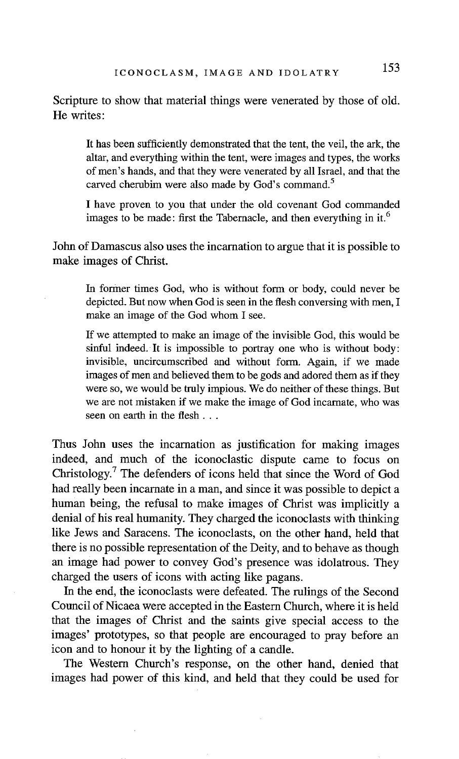Scripture to show that material things were venerated by those of old. He writes:

It has been sufficiently demonstrated that the tent, the veil, the ark, the altar, and everything within the tent, were images and types, the works of men's hands, and that they were venerated by all Israel, and that the carved cherubim were also made by God's command.<sup>5</sup>

I have proven to you that under the old covenant God commanded images to be made: first the Tabernacle, and then everything in it.<sup>6</sup>

John of Damascus also uses the incarnation to argue that it is possible to make images of Christ.

In former times God, who is without form or body, could never be depicted. But now when God is seen in the flesh conversing with men, I make an image of the God whom I see.

If we attempted to make an image of the invisible God, this would be sinful indeed. It is impossible to portray one who is without body: invisible, uncircumscribed and without form. Again, if we made images of men and believed them to be gods and adored them as if they were so, we would be truly impious. We do neither of these things. But we are not mistaken if we make the image of God incarnate, who was seen on earth in the flesh...

Thus John uses the incarnation as justification for making images indeed, and much of the iconoclastic dispute came to focus on Christology.<sup>7</sup> The defenders of icons held that since the Word of God had really been incarnate in a man, and since it was possible to depict a human being, the refusal to make images of Christ was implicitly a denial of his real humanity. They charged the iconoclasts with thinking like Jews and Saracens. The iconoclasts, on the other hand, held that there is no possible representation of the Deity, and to behave as though an image had power to convey God's presence was idolatrous. They charged the users of icons with acting like pagans.

In the end, the iconoclasts were defeated. The rulings of the Second Council of Nicaea were accepted in the Eastern Church, where it is held that the images of Christ and the saints give special access to the images' prototypes, so that people are encouraged to pray before an icon and to honour it by the lighting of a candle.

The Western Church's response, on the other hand, denied that images had power of this kind, and held that they could be used for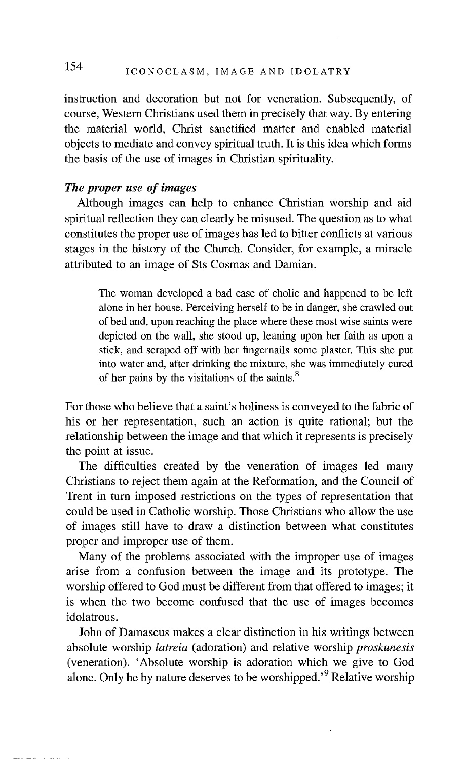### 154 ICONOCLASM, IMAGE AND IDOLATRY

instruction and decoration but not for veneration. Subsequently, of course, Western Christians used them in precisely that way. By entering the material world, Christ sanctified matter and enabled material objects to mediate and convey spiritual truth. It is this idea which forms the basis of the use of images in Christian spirituality.

#### *The proper use of images*

Although images can help to enhance Christian worship and aid spiritual reflection they can clearly be misused. The question as to what constitutes the proper use of images has led to bitter conflicts at various stages in the history of the Church. Consider, for example, a miracle attributed to an image of Sts Cosmas and Damian.

The woman developed a bad case of cholic and happened to be left alone in her house. Perceiving herself to be in danger, she crawled out of bed and, upon reaching the place where these most wise saints were depicted on the wall, she stood up, leaning upon her faith as upon a stick, and scraped off with her fingernails some plaster. This she put into water and, after drinking the mixture, she was immediately cured of her pains by the visitations of the saints. 8

For those who believe that a saint's holiness is conveyed to the fabric of his or her representation, such an action is quite rational; but the relationship between the image and that which it represents is precisely the point at issue.

The difficulties created by the veneration of images led many Christians to reject them again at the Reformation, and the Council of Trent in turn imposed restrictions on the types of representation that could be used in Catholic worship. Those Christians who allow the use of images still have to draw a distinction between what constitutes proper and improper use of them.

Many of the problems associated with the improper use of images arise from a confusion between the image and its prototype. The worship offered to God must be different from that offered to images; it is when the two become confused that the use of images becomes idolatrous.

John of Damascus makes a clear distinction in his writings between absolute worship *latreia* (adoration) and relative worship *proskunesis*  (veneration). 'Absolute worship is adoration which we give to God alone. Only he by nature deserves to be worshipped.<sup> $9$ </sup> Relative worship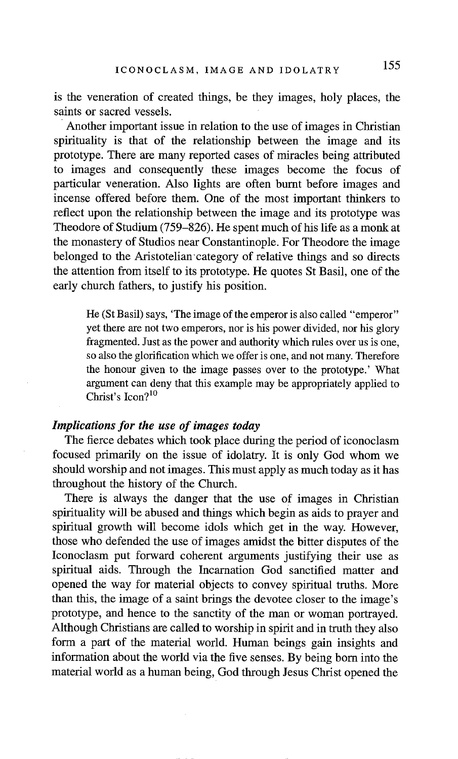is the veneration of created things, be they images, holy places, the saints or sacred vessels.

Another important issue in relation to the use of images in Christian spirituality is that of the relationship between the image and its prototype. There are many reported cases of miracles being attributed to images and consequently these images become the focus of particular veneration. Also lights are often burnt before images and incense offered before them. One of the most important thinkers to reflect upon the relationship between the image and its prototype was Theodore of Studium (759-826). He spent much of his life as a monk at the monastery of Studios near Constantinople. For Theodore the image belonged to the Aristotelian'category of relative things and so directs the attention from itself to its prototype. He quotes St Basil, one of the early church fathers, to justify his position.

He (St Basil) says, 'The image of the emperor is also called "emperor" yet there are not two emperors, nor is his power divided, nor his glory fragmented. Just as the power and authority which rules over us is one, so also the glorification which we offer is one, and not many. Therefore the honour given to the image passes over to the prototype.' What argument can deny that this example may be appropriately applied to Christ's  $Icon?<sup>10</sup>$ 

#### *Implications for the use of images today*

The fierce debates which took place during the period of iconoclasm focused primarily on the issue of idolatry. It is only God whom we should worship and not images. This must apply as much today as it has throughout the history of the Church.

There is always the danger that the use of images in Christian spirituality will be abused and things which begin as aids to prayer and spiritual growth will become idols which get in the way. However, those who defended the use of images amidst the bitter disputes of the Iconoclasm put forward coherent arguments justifying their use as spiritual aids. Through the Incarnation God sanctified matter and opened the way for material objects to convey spiritual truths. More than this, the image of a saint brings the devotee closer to the image's prototype, and hence to the sanctity of the man or woman portrayed. Although Christians are called to worship in spirit and in truth they also form a part of the material world. Human beings gain insights and information about the world via the five senses. By being born into the material world as a human being, God through Jesus Christ opened the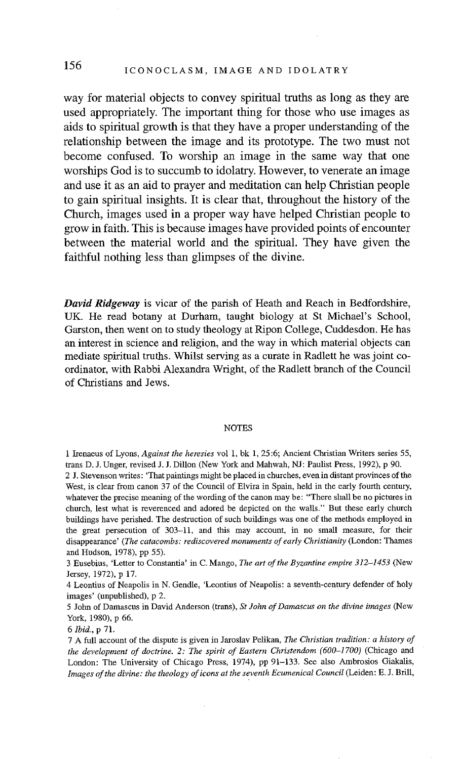### 156 ICONOCLASM, IMAGE AND IDOLATRY

**way for material objects to convey spiritual truths as long as they are used appropriately. The important thing for those who use images as aids to spiritual growth is that they have a proper understanding of the relationship between the image and its prototype. The two must not become confused. To worship an image in the same way that one worships God is to succumb to idolatry. However, to venerate an image and use it as an aid to prayer and meditation can help Christian people to gain spiritual insights. It is clear that, throughout the history of the Church, images used in a proper way have helped Christian people to grow in faith. This is because images have provided points of encounter between the material world and the spiritual. They have given the faithful nothing less than glimpses of the divine.** 

*David Ridgeway* is vicar of the parish of Heath and Reach in Bedfordshire, UK. He read botany at Durham, taught biology at St Michael's School, Garston, then went on to study theology at Ripon College, Cuddesdon. He has an interest in science and religion, and the way in which material objects can mediate spiritual truths. Whilst serving as a curate in Radlett he was joint coordinator, with Rabbi Alexandra Wright, of the Radlett branch of the Council of Christians and Jews.

#### **NOTES**

1 Irenaeus of Lyons, *Against the heresies* vol 1, bk 1, 25:6; Ancient Christian Writers series 55, trans D. J. Unger, revised J. J. Dillon (New York and Mahwah, NJ: Paulist Press, 1992), p 90. 2 J. Stevenson writes: 'That paintings might be placed in churches, even in distant provinces of the West, is clear from canon 37 of the Council of Elvira in Spain, held in the early fourth century, whatever the precise meaning of the wording of the canon may be: "There shall be no pictures in church, lest what is reverenced and adored be depicted on the walls." But these early church

buildings have perished. The destruction of such buildings was one of the methods employed in the great persecution of 303-11, and this may account, in no small measure, for their disappearance' *(The catacombs: rediscovered monuments of early Christianity* (London: Thames and Hudson, 1978), pp 55).

3 Eusebius, 'Letter to Constantia' in C. Mango, *The art of the Byzantine empire 312-1453* (New Jersey, 1972), p 17.

4 Leontius of Neapolis in N. Gendle, 'Leontius of Neapofis: a seventh-century defender of holy images' (unpublished), p 2.

5 John of Damascus in David Anderson (trans), *St John of Damascus on the divine images* (New York, 1980), p 66.

*6 1bid.,* p 71.

7 A full account of the dispute is given in Jaroslav Pelikan, *The Christian tradition: a history of the development of doctrine. 2: The spirit of Eastern Christendom (600-1700)* (Chicago and London: The University of Chicago Press, 1974), pp 91-133. See also Ambrosios Giakalis, *Images of the divine: the theology of icons at the seventh Ecumenical Council* (Leiden: E. J. Brill,